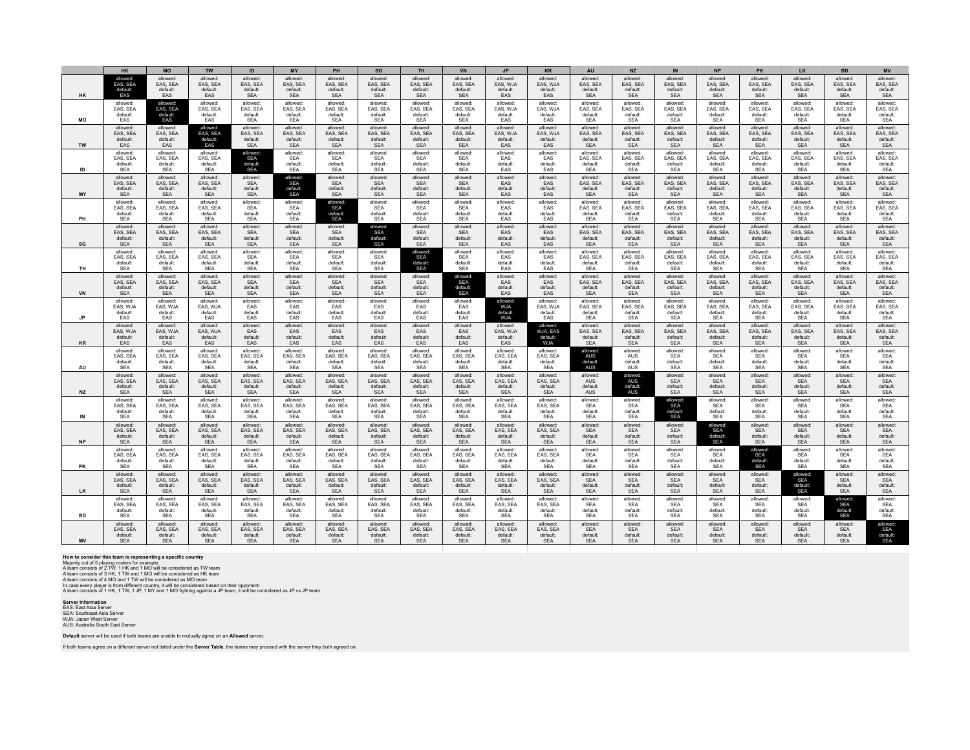| allowed:<br>allowed<br>allowed<br>allowed<br>allowed<br>allowed:<br>allowed<br>allowed <sup>-</sup><br>allowed:<br>allowed:<br>allowed<br>allowed<br>allowed:<br>allowed<br>allowed:<br>allowed<br>allowed<br>EAS, SEA<br>EAS, SEA<br>EAS, SEA<br>EAS, SEA<br>EAS, SEA<br>EAS, SEA<br>EAS, SEA<br>EAS, SEA<br>EAS, SEA<br>EAS, WJA<br>EAS, WJA<br>EAS, SEA<br>EAS, SEA<br>EAS, SEA<br>EAS, SEA<br>EAS, SEA<br>EAS, SEA<br>default:<br>default<br>default:<br>default:<br>default:<br>default:<br>default:<br>default:<br>default:<br>default:<br>default:<br>default:<br>default:<br>default:<br>default:<br>default:<br>default:<br>EAS<br>SEA<br><b>SEA</b><br>HK<br><b>FAS</b><br>EAS<br><b>SEA</b><br><b>SEA</b><br><b>SEA</b><br>SEA<br>SEA<br>EAS<br>EAS<br><b>SEA</b><br><b>SEA</b><br><b>SFA</b><br><b>SEA</b><br><b>SFA</b><br>allowed:<br>allowed:<br>allowed <sup>-</sup><br>allowed:<br>allowed:<br>allowed<br>allowed<br>allowed:<br>allowed:<br>allowed:<br>allowed<br>allowed<br>allowed<br>allowed<br>allowed<br>allowed<br>allowed<br>EAS, SEA<br>EAS, SEA<br>EAS, SEA<br>EAS, SEA<br>EAS, SEA<br>EAS, SEA<br>EAS, SEA<br>EAS, SEA<br><b>FAS SFA</b><br>EAS, WJA<br>EAS, WJA<br>EAS, SEA<br>EAS, SEA<br>EAS, SEA<br>EAS, SEA<br>EAS, SEA<br>EAS, SEA<br>default:<br>default:<br>default:<br>default:<br>default:<br>default:<br>default:<br>default:<br>default:<br>default:<br>default:<br>default:<br>default:<br>default:<br>default:<br>default:<br>default:<br>MO<br>EAS<br>EAS<br>EAS<br><b>SEA</b><br><b>SEA</b><br>EAS<br><b>SEA</b><br>SEA<br><b>SEA</b><br><b>SEA</b><br><b>SEA</b><br><b>SEA</b><br>EAS<br><b>SEA</b><br><b>SEA</b><br><b>SEA</b><br><b>SEA</b><br>allowed:<br>allowed:<br>allowed:<br>allowed:<br>allowed:<br>allowed <sup>-</sup><br>allowed:<br>allowed:<br>allowed:<br>allowed:<br>allowed:<br>allowed<br>allowed<br>allowed<br>allowed<br>allowed<br>allowed<br>EAS, SEA<br>EAS, SEA<br>EAS, SEA<br>EAS, SEA<br>EAS, SEA<br>EAS, SEA<br>EAS, SEA<br>EAS, SEA<br>EAS, SEA<br>EAS, WJA<br>EAS, WJA<br>EAS, SEA<br>EAS, SEA<br>EAS, SEA<br>EAS, SEA<br>EAS, SEA<br>EAS, SEA<br>default:<br>default:<br>default:<br>default:<br>default:<br>default:<br>default:<br>default:<br>default:<br>default:<br>default:<br>default:<br>default:<br>default:<br>default:<br>default:<br>default:<br>EAS<br>TW<br>EAS<br>EAS<br><b>SEA</b><br>SEA<br><b>SEA</b><br><b>SEA</b><br><b>SEA</b><br>SEA<br>EAS<br>EAS<br><b>SEA</b><br><b>SEA</b><br><b>SEA</b><br><b>SEA</b><br><b>SEA</b><br><b>SEA</b> | allowed<br>allowed<br>EAS, SEA<br>EAS, SEA<br>default:<br>default:<br><b>SFA</b><br><b>SEA</b><br>allowed:<br>allowed:<br>EAS, SEA<br>EAS, SEA<br>default:<br>default:<br><b>SEA</b><br><b>SEA</b><br>allowed<br>allowed<br>EAS, SEA<br>EAS, SEA<br>default:<br>default:<br><b>SEA</b><br><b>SEA</b><br>allowed:<br>allowed:<br>EAS, SEA<br>EAS, SEA<br>default:<br>default:<br><b>SEA</b><br><b>SEA</b> |
|------------------------------------------------------------------------------------------------------------------------------------------------------------------------------------------------------------------------------------------------------------------------------------------------------------------------------------------------------------------------------------------------------------------------------------------------------------------------------------------------------------------------------------------------------------------------------------------------------------------------------------------------------------------------------------------------------------------------------------------------------------------------------------------------------------------------------------------------------------------------------------------------------------------------------------------------------------------------------------------------------------------------------------------------------------------------------------------------------------------------------------------------------------------------------------------------------------------------------------------------------------------------------------------------------------------------------------------------------------------------------------------------------------------------------------------------------------------------------------------------------------------------------------------------------------------------------------------------------------------------------------------------------------------------------------------------------------------------------------------------------------------------------------------------------------------------------------------------------------------------------------------------------------------------------------------------------------------------------------------------------------------------------------------------------------------------------------------------------------------------------------------------------------------------------------------------------------------------------------------------------------------------------------------------------------------------------------------------------------------------------------------------------------------------------------------------------------------------------------------------------------------------------------------|----------------------------------------------------------------------------------------------------------------------------------------------------------------------------------------------------------------------------------------------------------------------------------------------------------------------------------------------------------------------------------------------------------|
|                                                                                                                                                                                                                                                                                                                                                                                                                                                                                                                                                                                                                                                                                                                                                                                                                                                                                                                                                                                                                                                                                                                                                                                                                                                                                                                                                                                                                                                                                                                                                                                                                                                                                                                                                                                                                                                                                                                                                                                                                                                                                                                                                                                                                                                                                                                                                                                                                                                                                                                                          |                                                                                                                                                                                                                                                                                                                                                                                                          |
|                                                                                                                                                                                                                                                                                                                                                                                                                                                                                                                                                                                                                                                                                                                                                                                                                                                                                                                                                                                                                                                                                                                                                                                                                                                                                                                                                                                                                                                                                                                                                                                                                                                                                                                                                                                                                                                                                                                                                                                                                                                                                                                                                                                                                                                                                                                                                                                                                                                                                                                                          |                                                                                                                                                                                                                                                                                                                                                                                                          |
|                                                                                                                                                                                                                                                                                                                                                                                                                                                                                                                                                                                                                                                                                                                                                                                                                                                                                                                                                                                                                                                                                                                                                                                                                                                                                                                                                                                                                                                                                                                                                                                                                                                                                                                                                                                                                                                                                                                                                                                                                                                                                                                                                                                                                                                                                                                                                                                                                                                                                                                                          |                                                                                                                                                                                                                                                                                                                                                                                                          |
| allowed:<br>allowed:<br>allowed:<br>allowed:<br>allowed:<br>allowed<br>allowed.<br>allowed:<br>allowed<br>allowed:<br>allowed:<br>allowed.<br>allowed<br>allowed<br>allowed<br>allowed<br>allowed:<br>EAS, SEA<br><b>SEA</b><br>SEA<br><b>SEA</b><br><b>SEA</b><br>EAS, SEA<br>EAS, SEA<br>EAS, SEA<br>EAS, SEA<br>EAS, SEA<br>EAS, SEA<br>SEA<br>SEA<br>EAS<br>EAS<br>EAS, SEA<br>EAS, SEA<br>default:<br>default<br>default:<br>default:<br>default:<br>default<br>default:<br>default:<br>default:<br>default:<br>default:<br>default:<br>default:<br>default:<br>default:<br>default:<br>default:<br>ID<br><b>SEA</b><br><b>SEA</b><br><b>SEA</b><br><b>SEA</b><br><b>SEA</b><br><b>SEA</b><br><b>SEA</b><br><b>SEA</b><br><b>SEA</b><br>EAS<br>EAS<br><b>SEA</b><br><b>SEA</b><br><b>SEA</b><br><b>SEA</b><br><b>SEA</b><br><b>SEA</b>                                                                                                                                                                                                                                                                                                                                                                                                                                                                                                                                                                                                                                                                                                                                                                                                                                                                                                                                                                                                                                                                                                                                                                                                                                                                                                                                                                                                                                                                                                                                                                                                                                                                                              |                                                                                                                                                                                                                                                                                                                                                                                                          |
| allowed:<br>allowed:<br>allowed:<br>allowed:<br>allowed:<br>allowed:<br>allowed:<br>allowed:<br>allowed:<br>allowed:<br>allowed:<br>allowed:<br>allowed:<br>allowed:<br>allowed:<br>allowed:<br>allowed:<br><b>SEA</b><br>EAS, SEA<br>EAS, SEA<br>EAS, SEA<br><b>SEA</b><br>EAS<br>EAS, SEA<br>EAS, SEA<br>EAS, SEA<br>EAS, SEA<br>EAS, SEA<br>EAS, SEA<br><b>SFA</b><br><b>SFA</b><br><b>SFA</b><br><b>SFA</b><br><b>FAS</b><br>default:<br>default<br>default:<br>default:<br>default:<br>default:<br>default:<br>default:<br>default:<br>default<br>default:<br>default:<br>default:<br>default:<br>default:<br>default:<br>default:<br>MY<br><b>SEA</b><br><b>SEA</b><br><b>SEA</b><br><b>SEA</b><br><b>SEA</b><br><b>SEA</b><br><b>SEA</b><br><b>SEA</b><br><b>SEA</b><br>EAS<br>EAS<br><b>SEA</b><br><b>SEA</b><br><b>SEA</b><br><b>SEA</b><br><b>SEA</b><br><b>SEA</b>                                                                                                                                                                                                                                                                                                                                                                                                                                                                                                                                                                                                                                                                                                                                                                                                                                                                                                                                                                                                                                                                                                                                                                                                                                                                                                                                                                                                                                                                                                                                                                                                                                                            | allowed:<br>allowed:<br>EAS, SEA<br>EAS, SEA<br>default:<br>default:<br><b>SEA</b><br><b>SEA</b>                                                                                                                                                                                                                                                                                                         |
| allowed:<br>allowed <sup>®</sup><br>allowed<br>allowed <sup>-</sup><br>allowed:<br>allowed<br>allowed<br>allowed<br>allowed<br>allowed<br>allowed<br>allowed<br>allowed<br>allowed<br>allowed<br>allowed:<br>allowed<br><b>SEA</b><br>EAS, SEA<br>EAS, SEA<br>EAS, SEA<br><b>SEA</b><br>SEA<br><b>SEA</b><br><b>SEA</b><br><b>SEA</b><br>EAS<br>EAS<br>EAS, SEA<br>EAS, SEA<br>EAS, SEA<br>EAS, SEA<br>EAS, SEA<br>EAS, SEA<br>default:<br>default:<br>default:<br>default:<br>default:<br>default<br>default:<br>default:<br>default:<br>default:<br>default:<br>default<br>default <sup>-</sup><br>default<br>default<br>default:<br>default<br><b>SEA</b><br>PH<br><b>SEA</b><br><b>SEA</b><br>EAS<br><b>SEA</b><br><b>SEA</b><br><b>SEA</b><br><b>SEA</b><br><b>SEA</b><br>SEA<br><b>SEA</b><br>SEA<br>SEA<br><b>SFA</b><br><b>SEA</b><br>EAS<br>SEA                                                                                                                                                                                                                                                                                                                                                                                                                                                                                                                                                                                                                                                                                                                                                                                                                                                                                                                                                                                                                                                                                                                                                                                                                                                                                                                                                                                                                                                                                                                                                                                                                                                                                 | allowed<br>allowed<br>EAS, SEA<br>EAS, SEA<br>default <sup>-</sup><br>default<br><b>SEA</b><br><b>SEA</b>                                                                                                                                                                                                                                                                                                |
| allowed <sup>-</sup><br>allowed:<br>allowed:<br>allowed<br>allowed<br>allowed<br>allowed<br>allowed<br>allowed:<br>allowed:<br>allowed:<br>allowed:<br>allowed:<br>allowed<br>allowed<br>allowed:<br>allowed<br><b>SEA</b><br>EAS, SEA<br>EAS, SEA<br>EAS, SEA<br><b>SEA</b><br><b>SEA</b><br><b>SEA</b><br><b>SEA</b><br><b>SEA</b><br>EAS<br>EAS<br>EAS, SEA<br>EAS, SEA<br>EAS, SEA<br>EAS, SEA<br>EAS, SEA<br>EAS, SEA<br>default:<br>default:<br>default:<br>default:<br>default:<br>default:<br>default:<br>default:<br>default:<br>default:<br>default:<br>default:<br>default:<br>default:<br>default:<br>default:<br>default:<br><b>SEA</b><br><b>SEA</b><br><b>SEA</b><br><b>SEA</b><br><b>SEA</b><br><b>SEA</b><br><b>SEA</b><br>EAS<br>EAS<br><b>SEA</b><br><b>SEA</b><br><b>SEA</b><br><b>SEA</b><br><b>SEA</b><br><b>SEA</b><br>SG<br><b>SFA</b><br><b>SFA</b>                                                                                                                                                                                                                                                                                                                                                                                                                                                                                                                                                                                                                                                                                                                                                                                                                                                                                                                                                                                                                                                                                                                                                                                                                                                                                                                                                                                                                                                                                                                                                                                                                                                             | allowed<br>allowed<br>EAS, SEA<br>EAS, SEA<br>default:<br>default:<br><b>SEA</b><br><b>SEA</b>                                                                                                                                                                                                                                                                                                           |
| allowed:<br>allowed:<br>allowed:<br>allowed:<br>allowed:<br>allowed:<br>allowed:<br>allowed:<br>allowed:<br>allowed:<br>allowed:<br>allowed:<br>allowed<br>allowed<br>allowed:<br>allowed<br>allowed:<br><b>SEA</b><br>EAS, SEA<br>EAS, SEA<br>EAS, SEA<br>SEA<br>EAS, SEA<br>EAS, SEA<br>EAS, SEA<br>EAS, SEA<br>EAS, SEA<br>EAS, SEA<br><b>SEA</b><br>SEA<br>SEA<br>SEA<br>EAS<br>EAS<br>default:<br>default:<br>default:<br>default:<br>default:<br>default:<br>default:<br>default:<br>default:<br>default:<br>default:<br>default:<br>default:<br>default:<br>default:<br>default:<br>default:<br><b>TH</b><br><b>SEA</b><br><b>SFA</b><br><b>SFA</b><br>EAS<br>EAS<br><b>SFA</b><br><b>SEA</b><br><b>SEA</b><br><b>SEA</b><br><b>SEA</b><br><b>SEA</b><br><b>SEA</b><br><b>SEA</b><br><b>SEA</b><br><b>SEA</b><br>SEA<br><b>SEA</b>                                                                                                                                                                                                                                                                                                                                                                                                                                                                                                                                                                                                                                                                                                                                                                                                                                                                                                                                                                                                                                                                                                                                                                                                                                                                                                                                                                                                                                                                                                                                                                                                                                                                                                | allowed<br>allowed<br>EAS, SEA<br>EAS, SEA<br>default:<br>default:<br><b>SEA</b><br><b>SEA</b>                                                                                                                                                                                                                                                                                                           |
| allowed:<br>allowed:<br>allowed:<br>allowed:<br>allowed:<br>allowed:<br>allowed:<br>allowed:<br>allowed:<br>allowed:<br>allowed:<br>allowed<br>allowed:<br>allowed:<br>allowed:<br>allowed:<br>allowed:<br><b>SEA</b><br><b>SEA</b><br><b>SEA</b><br>SEA<br><b>SEA</b><br>EAS<br>EAS, SEA<br>EAS, SEA<br>EAS, SEA<br><b>SFA</b><br>EAS<br>EAS, SEA<br>EAS, SEA<br>EAS, SEA<br>EAS, SEA<br>EAS, SEA<br>EAS, SEA<br>default:<br>default:<br>default:<br>default:<br>default:<br>default:<br>default:<br>default:<br>default:<br>default:<br>default:<br>default:<br>default<br>default<br>default<br>default:<br>default <sup>-</sup><br><b>SEA</b><br>VN<br><b>SEA</b><br><b>SEA</b><br><b>SEA</b><br><b>SEA</b><br>SEA<br><b>SEA</b><br>SEA<br>SEA<br>EAS<br>EAS<br><b>SEA</b><br>SEA<br><b>SEA</b><br><b>SEA</b><br><b>SEA</b><br>SEA                                                                                                                                                                                                                                                                                                                                                                                                                                                                                                                                                                                                                                                                                                                                                                                                                                                                                                                                                                                                                                                                                                                                                                                                                                                                                                                                                                                                                                                                                                                                                                                                                                                                                                   | allowed:<br>allowed:<br>EAS, SEA<br>EAS, SEA<br>default <sup>-</sup><br>default:<br><b>SEA</b><br><b>SEA</b>                                                                                                                                                                                                                                                                                             |
| allowed:<br>allowed:<br>allowed:<br>allowed<br>allowed.<br>allowed<br>allowed<br>allowed:<br>allowed:<br>allowed:<br>allowed:<br>allowed:<br>allowed<br>allowed<br>allowed<br>allowed<br>allowed<br>EAS, WJA<br>EAS, WJA<br>EAS, WJA<br>EAS<br>EAS<br>EAS<br>EAS<br>EAS<br>EAS<br><b>WJA</b><br>EAS, WJA<br>EAS, SEA<br>EAS, SEA<br>EAS, SEA<br>EAS, SEA<br>EAS, SEA<br>EAS, SEA<br>default:<br>default:<br>default:<br>default:<br>default:<br>default:<br>default:<br>default:<br>default<br>default:<br>default:<br>default:<br>default:<br>default:<br>default:<br>default:<br>default:<br>W.IA<br>EAS<br><b>SEA</b><br><b>SEA</b><br><b>JP</b><br>EAS<br>EAS<br>EAS<br>EAS<br>EAS<br>EAS<br>EAS<br>EAS<br>EAS<br><b>SEA</b><br><b>SEA</b><br><b>SEA</b><br><b>SEA</b>                                                                                                                                                                                                                                                                                                                                                                                                                                                                                                                                                                                                                                                                                                                                                                                                                                                                                                                                                                                                                                                                                                                                                                                                                                                                                                                                                                                                                                                                                                                                                                                                                                                                                                                                                               | allowed<br>allowed<br>EAS, SEA<br>EAS, SEA<br>default:<br>default:<br><b>SEA</b><br><b>SEA</b>                                                                                                                                                                                                                                                                                                           |
| allowed:<br>allowed:<br>allowed:<br>allowed:<br>allowed:<br>allowed:<br>allowed:<br>allowed:<br>allowed:<br>allowed:<br>allowed:<br>allowed:<br>allowed:<br>allowed:<br>allowed:<br>allowed:<br>allowed<br>WJA, EAS<br>EAS, WJA<br>EAS, WJA<br>EAS, SEA<br>EAS, SEA<br>EAS, SEA<br>EAS, WJA<br>EAS, WJA<br>EAS<br>EAS<br>EAS<br>EAS<br>EAS<br>EAS<br>EAS, SEA<br>EAS, SEA<br>EAS, SEA<br>default:<br>default:<br>default:<br>default:<br>default:<br>default:<br>default:<br>default<br>default:<br>default:<br>default:<br>default:<br>default:<br>default<br>default:<br>default:<br>default:<br>EAS<br>EAS<br>EAS<br><b>WJA</b><br><b>SEA</b><br>SEA<br><b>SEA</b><br>SEA<br>KR<br>EAS<br>EAS<br>EAS<br>EAS<br>EAS<br>EAS<br>EAS<br><b>SEA</b><br><b>SEA</b>                                                                                                                                                                                                                                                                                                                                                                                                                                                                                                                                                                                                                                                                                                                                                                                                                                                                                                                                                                                                                                                                                                                                                                                                                                                                                                                                                                                                                                                                                                                                                                                                                                                                                                                                                                          | allowed:<br>allowed:<br>EAS, SEA<br>EAS, SEA<br>default:<br>default:<br>SEA<br><b>SEA</b>                                                                                                                                                                                                                                                                                                                |
| allowed <sup>®</sup><br>allowed <sup>®</sup><br>allowed<br>allowed <sup>-</sup><br>allowed:<br>allowed:<br>allowed<br>allowed <sup>-</sup><br>allowed:<br>allowed<br>allowed<br>allowed<br>allowed <sup>®</sup><br>allowed:<br>allowed<br>allowed<br>allowed<br><b>AUS</b><br>EAS, SEA<br>EAS, SEA<br>EAS, SEA<br>EAS, SEA<br>EAS, SEA<br>EAS, SEA<br>EAS, SEA<br>EAS, SEA<br>EAS, SEA<br>EAS, SEA<br>EAS, SEA<br>AUS<br><b>SEA</b><br><b>SEA</b><br><b>SEA</b><br><b>SEA</b><br>default:<br>default:<br>default:<br>default:<br>default:<br>default:<br>default:<br>default:<br>default:<br>default:<br>default:<br>default:<br>default:<br>default:<br>default:<br>default:<br>default:<br>AU<br><b>SEA</b><br><b>SEA</b><br><b>SEA</b><br><b>SEA</b><br><b>SEA</b><br><b>SEA</b><br><b>SEA</b><br><b>SEA</b><br><b>SEA</b><br><b>SEA</b><br><b>SEA</b><br><b>AUS</b><br>AUS<br><b>SEA</b><br><b>SEA</b><br><b>SEA</b><br><b>SEA</b>                                                                                                                                                                                                                                                                                                                                                                                                                                                                                                                                                                                                                                                                                                                                                                                                                                                                                                                                                                                                                                                                                                                                                                                                                                                                                                                                                                                                                                                                                                                                                                                                   | allowed<br>allowed<br><b>SEA</b><br><b>SEA</b><br>default:<br>default:<br><b>SEA</b><br><b>SEA</b>                                                                                                                                                                                                                                                                                                       |
| allowed:<br>allowed:<br>allowed<br>allowed:<br>allowed:<br>allowed:<br>allowed:<br>allowed:<br>allowed:<br>allowed<br>allowed:<br>allowed:<br>allowed<br>allowed:<br>allowed:<br>allowed:<br>allowed<br>EAS, SEA<br>EAS, SEA<br>EAS, SEA<br>EAS, SEA<br>EAS, SEA<br>EAS, SEA<br>EAS, SEA<br>EAS, SEA<br>EAS, SEA<br>EAS, SEA<br>EAS, SEA<br>AUS<br><b>AUS</b><br><b>SEA</b><br><b>SEA</b><br><b>SEA</b><br><b>SEA</b><br>default:<br>default:<br>default:<br>default:<br>default:<br>default:<br>default:<br>default:<br>default:<br>default:<br>default:<br>default:<br>default:<br>default:<br>default:<br>default:<br>default<br><b>NZ</b><br><b>SEA</b><br><b>SEA</b><br><b>SEA</b><br><b>SEA</b><br><b>SEA</b><br><b>SEA</b><br><b>SEA</b><br><b>SEA</b><br><b>SEA</b><br><b>SEA</b><br><b>SEA</b><br>AUS<br><b>SEA</b><br><b>SEA</b><br><b>SEA</b><br><b>SEA</b><br><b>AUS</b>                                                                                                                                                                                                                                                                                                                                                                                                                                                                                                                                                                                                                                                                                                                                                                                                                                                                                                                                                                                                                                                                                                                                                                                                                                                                                                                                                                                                                                                                                                                                                                                                                                                     | allowed<br>allowed:<br><b>SEA</b><br><b>SEA</b><br>default:<br>default:<br><b>SEA</b><br><b>SEA</b>                                                                                                                                                                                                                                                                                                      |
| allowed:<br>allowed:<br>allowed:<br>allowed:<br>allowed:<br>allowed:<br>allowed:<br>allowed:<br>allowed:<br>allowed:<br>allowed:<br>allowed:<br>allowed:<br>allowed<br>allowed:<br>allowed:<br>allowed.<br>EAS, SEA<br>EAS, SEA<br><b>SEA</b><br>EAS, SEA<br>EAS, SEA<br>EAS, SEA<br>EAS, SEA<br>EAS, SEA<br>EAS, SEA<br>EAS, SEA<br>EAS, SEA<br>EAS, SEA<br><b>SEA</b><br><b>SEA</b><br><b>SEA</b><br><b>SEA</b><br><b>SEA</b><br>default:<br>default:<br>default:<br>default:<br>default:<br>default:<br>default<br>default:<br>default:<br>default:<br>default:<br>default <sup>-</sup><br>default<br>default<br>default:<br>default:<br>default<br>IN<br><b>SEA</b><br><b>SEA</b><br><b>SEA</b><br><b>SEA</b><br><b>SEA</b><br><b>SEA</b><br><b>SEA</b><br><b>SEA</b><br><b>SEA</b><br><b>SEA</b><br><b>SEA</b><br><b>SEA</b><br><b>SEA</b><br><b>SEA</b><br><b>SEA</b><br><b>SEA</b><br><b>SEA</b>                                                                                                                                                                                                                                                                                                                                                                                                                                                                                                                                                                                                                                                                                                                                                                                                                                                                                                                                                                                                                                                                                                                                                                                                                                                                                                                                                                                                                                                                                                                                                                                                                                  | allowed:<br>allowed<br><b>SEA</b><br><b>SEA</b><br>default:<br>default:<br><b>SEA</b><br><b>SEA</b>                                                                                                                                                                                                                                                                                                      |
| allowed:<br>allowed:<br>allowed:<br>allowed:<br>allowed:<br>allowed:<br>allowed:<br>allowed:<br>allowed:<br>allowed:<br>allowed:<br>allowed:<br>allowed:<br>allowed:<br>allowed:<br>allowed<br>allowed<br>EAS, SEA<br>EAS, SEA<br>EAS, SEA<br>EAS, SEA<br>EAS, SEA<br>EAS, SEA<br>EAS, SEA<br>EAS, SEA<br>EAS, SEA<br>EAS, SEA<br>EAS, SEA<br><b>SEA</b><br><b>SEA</b><br><b>SEA</b><br><b>SEA</b><br><b>SEA</b><br><b>SEA</b><br>default:<br>default:<br>default:<br>default:<br>default:<br>default:<br>default:<br>default:<br>default <sup>-</sup><br>default<br>default:<br>default:<br>default <sup>-</sup><br>default<br>default<br>default:<br>default:<br><b>NP</b><br><b>SEA</b><br><b>SEA</b><br><b>SEA</b><br><b>SEA</b><br><b>SEA</b><br><b>SEA</b><br>SEA<br><b>SEA</b><br><b>SEA</b><br><b>SEA</b><br>SEA<br><b>SEA</b><br>SEA<br>SEA<br>SEA<br><b>SEA</b><br><b>SEA</b>                                                                                                                                                                                                                                                                                                                                                                                                                                                                                                                                                                                                                                                                                                                                                                                                                                                                                                                                                                                                                                                                                                                                                                                                                                                                                                                                                                                                                                                                                                                                                                                                                                                  | allowed:<br>allowed<br><b>SEA</b><br><b>SEA</b><br>default:<br>default <sup>-</sup><br><b>SEA</b><br><b>SEA</b>                                                                                                                                                                                                                                                                                          |
| allowed <sup>®</sup><br>allowed <sup>.</sup><br>allowed<br>allowed <sup>-</sup><br>allowed:<br>allowed:<br>allowed:<br>allowed:<br>allowed:<br>allowed:<br>allowed<br>allowed<br>allowed<br>allowed<br>allowed<br>allowed:<br>allowed<br>EAS, SEA<br>EAS, SEA<br>EAS, SEA<br>EAS, SEA<br>EAS, SEA<br>EAS, SEA<br>EAS, SEA<br>EAS, SEA<br>EAS, SEA<br>EAS, SEA<br>EAS, SEA<br><b>SEA</b><br><b>SEA</b><br><b>SEA</b><br><b>SEA</b><br><b>SEA</b><br><b>SEA</b><br>default:<br>default:<br>default:<br>default:<br>default:<br>default:<br>default:<br>default:<br>default:<br>default:<br>default:<br>default:<br>default:<br>default:<br>default:<br>default:<br>default:<br><b>SEA</b><br>SEA<br><b>SEA</b><br><b>SEA</b><br><b>SEA</b><br>SEA<br><b>SEA</b><br><b>SEA</b><br>SEA<br><b>SEA</b><br><b>SEA</b><br><b>SEA</b><br>PK<br>SEA<br><b>SEA</b><br><b>SEA</b><br><b>SEA</b><br><b>SEA</b>                                                                                                                                                                                                                                                                                                                                                                                                                                                                                                                                                                                                                                                                                                                                                                                                                                                                                                                                                                                                                                                                                                                                                                                                                                                                                                                                                                                                                                                                                                                                                                                                                                        | allowed<br>allowed<br><b>SEA</b><br><b>SEA</b><br>default:<br>default:<br><b>SEA</b><br><b>SEA</b>                                                                                                                                                                                                                                                                                                       |
| allowed:<br>allowed:<br>allowed:<br>allowed:<br>allowed.<br>allowed:<br>allowed <sup>®</sup><br>allowed:<br>allowed:<br>allowed:<br>allowed <sup>-</sup><br>allowed:<br>allowed:<br>allowed:<br>allowed:<br>allowed:<br>allowed<br>SEA<br>EAS, SEA<br>EAS, SEA<br>EAS, SEA<br>EAS, SEA<br>EAS, SEA<br>EAS, SEA<br>EAS, SEA<br>EAS, SEA<br>EAS, SEA<br><b>SEA</b><br>EAS, SEA<br>EAS, SEA<br><b>SFA</b><br><b>SFA</b><br><b>SFA</b><br><b>SFA</b><br>default:<br>default:<br>default:<br>default:<br>default:<br>default:<br>default:<br>default:<br>default:<br>default:<br>default:<br>default:<br>default:<br>default:<br>default:<br>default:<br>default:<br><b>SEA</b><br><b>SEA</b><br><b>SEA</b><br><b>SEA</b><br>LK<br><b>SEA</b><br><b>SEA</b><br><b>SEA</b><br><b>SEA</b><br><b>SEA</b><br><b>SEA</b><br><b>SEA</b><br><b>SEA</b><br><b>SEA</b><br><b>SEA</b><br><b>SEA</b><br><b>SEA</b><br><b>SFA</b>                                                                                                                                                                                                                                                                                                                                                                                                                                                                                                                                                                                                                                                                                                                                                                                                                                                                                                                                                                                                                                                                                                                                                                                                                                                                                                                                                                                                                                                                                                                                                                                                                         | allowed:<br>allowed:<br><b>SEA</b><br><b>SEA</b><br>default:<br>default:<br><b>SEA</b><br><b>SEA</b>                                                                                                                                                                                                                                                                                                     |
| allowed:<br>allowed <sup>®</sup><br>allowed<br>allowed <sup>-</sup><br>allowed:<br>allowed<br>allowed<br>allowed <sup>-</sup><br>allowed:<br>allowed<br>allowed<br>allowed<br>allowed<br>allowed<br>allowed<br>allowed<br>allowed<br>EAS, SEA<br>EAS, SEA<br>EAS, SEA<br><b>SEA</b><br><b>SEA</b><br>EAS, SEA<br>EAS, SEA<br>EAS, SEA<br>EAS, SEA<br>EAS, SEA<br>EAS, SEA<br>EAS, SEA<br>EAS, SEA<br>SEA<br><b>SEA</b><br><b>SEA</b><br><b>SEA</b><br>default:<br>default:<br>default:<br>default:<br>default:<br>default:<br>default:<br>default:<br>default:<br>default:<br>default:<br>default:<br>default:<br>default:<br>default:<br>default:<br>default:<br><b>SEA</b><br>BD<br><b>SEA</b><br><b>SEA</b><br><b>SEA</b><br><b>SEA</b><br>SEA<br>SEA<br><b>SEA</b><br><b>SEA</b><br><b>SEA</b><br><b>SEA</b><br><b>SEA</b><br><b>SEA</b><br><b>SEA</b><br><b>SEA</b><br><b>SEA</b><br><b>SEA</b>                                                                                                                                                                                                                                                                                                                                                                                                                                                                                                                                                                                                                                                                                                                                                                                                                                                                                                                                                                                                                                                                                                                                                                                                                                                                                                                                                                                                                                                                                                                                                                                                                                     | allowed<br>allowed<br><b>SEA</b><br><b>SEA</b><br>default:<br>default:<br><b>SEA</b><br><b>SEA</b>                                                                                                                                                                                                                                                                                                       |
| allowed <sup>.</sup><br>allowed:<br>allowed<br>allowed<br>allowed<br>allowed<br>allowed<br>allowed<br>allowed:<br>allowed<br>allowed:<br>allowed:<br>allowed:<br>allowed<br>allowed<br>allowed<br>allowed:<br>EAS, SEA<br>EAS, SEA<br>EAS, SEA<br>EAS, SEA<br>EAS, SEA<br>EAS, SEA<br>EAS, SEA<br>EAS, SEA<br>EAS, SEA<br>EAS, SEA<br>EAS, SEA<br><b>SEA</b><br><b>SEA</b><br><b>SEA</b><br><b>SEA</b><br><b>SEA</b><br><b>SEA</b><br>default:<br>default:<br>default:<br>default:<br>default:<br>default:<br>default:<br>default:<br>default:<br>default:<br>default:<br>default:<br>default:<br>default:<br>default:<br>default:<br>default:<br><b>MV</b><br><b>SEA</b><br><b>SEA</b><br><b>SEA</b><br><b>SEA</b><br><b>SEA</b><br><b>SEA</b><br>SEA<br><b>SEA</b><br><b>SEA</b><br><b>SEA</b><br><b>SEA</b><br><b>SEA</b><br><b>SEA</b><br><b>SEA</b><br><b>SEA</b><br><b>SEA</b><br><b>SEA</b>                                                                                                                                                                                                                                                                                                                                                                                                                                                                                                                                                                                                                                                                                                                                                                                                                                                                                                                                                                                                                                                                                                                                                                                                                                                                                                                                                                                                                                                                                                                                                                                                                                       | allowed:<br>allowed:<br>SEA<br><b>SEA</b><br>default:<br>default:<br><b>SEA</b><br><b>SEA</b>                                                                                                                                                                                                                                                                                                            |

How to consider this team is representing a specific country<br>Majority out of 5 playing rosters for example:<br>A team consists of 2 TW, 1 HK and 1 MO will be considered as TW team<br>A team consists of 3 TW, 1 HK and 1 MO will b

**Server Information<br>EAS: East Asia Server<br>SEA: Southeast Asia Server<br>WJA: Japan West Server<br>AUS: Australia South East Server** 

**Default** server will be used if both teams are unable to mutually agree on an **Allowed** server.

If both teams agree on a different server not listed under the **Server Table**, the teams may proceed with the server they both agreed on.